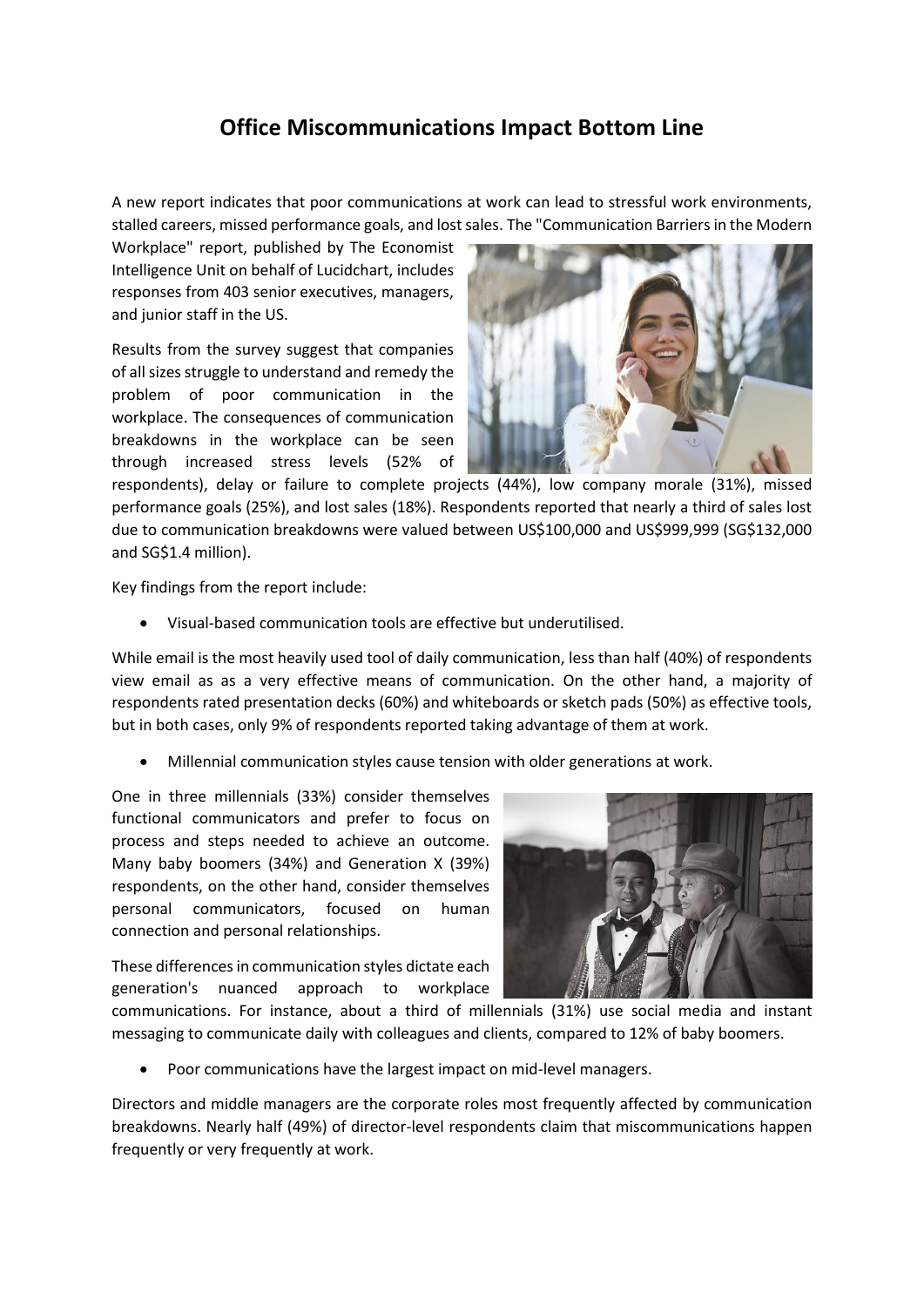## **Office Miscommunications Impact Bottom Line**

A new report indicates that poor communications at work can lead to stressful work environments, stalled careers, missed performance goals, and lost sales. The "Communication Barriers in the Modern

Workplace" report, published by The Economist Intelligence Unit on behalf of Lucidchart, includes responses from 403 senior executives, managers, and junior staff in the US.

Results from the survey suggest that companies of all sizes struggle to understand and remedy the problem of poor communication in the workplace. The consequences of communication breakdowns in the workplace can be seen through increased stress levels (52% of



respondents), delay or failure to complete projects (44%), low company morale (31%), missed performance goals (25%), and lost sales (18%). Respondents reported that nearly a third of sales lost due to communication breakdowns were valued between US\$100,000 and US\$999,999 (SG\$132,000 and SG\$1.4 million).

Key findings from the report include:

Visual-based communication tools are effective but underutilised.

While email is the most heavily used tool of daily communication, less than half (40%) of respondents view email as as a very effective means of communication. On the other hand, a majority of respondents rated presentation decks (60%) and whiteboards or sketch pads (50%) as effective tools, but in both cases, only 9% of respondents reported taking advantage of them at work.

Millennial communication styles cause tension with older generations at work.

One in three millennials (33%) consider themselves functional communicators and prefer to focus on process and steps needed to achieve an outcome. Many baby boomers (34%) and Generation X (39%) respondents, on the other hand, consider themselves personal communicators, focused on human connection and personal relationships.

These differences in communication styles dictate each generation's nuanced approach to workplace

communications. For instance, about a third of millennials (31%) use social media and instant messaging to communicate daily with colleagues and clients, compared to 12% of baby boomers.

Poor communications have the largest impact on mid-level managers.

Directors and middle managers are the corporate roles most frequently affected by communication breakdowns. Nearly half (49%) of director-level respondents claim that miscommunications happen frequently or very frequently at work.